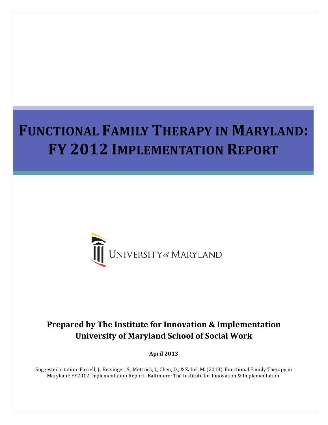# **FUNCTIONAL FAMILY THERAPY IN MARYLAND: FY 2012 IMPLEMENTATION REPORT**



# **Prepared by The Institute for Innovation & Implementation University of Maryland School of Social Work**

**April 2013**

Suggested citation: Farrell, J., Betsinger, S., Mettrick, J., Chen, D., & Zabel, M. (2013). Functional Family Therapy in Maryland: FY2012 Implementation Report. Baltimore: The Institute for Innovation & Implementation.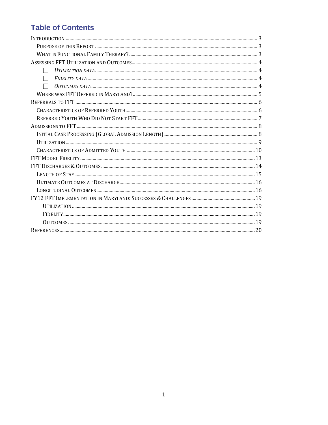# **Table of Contents**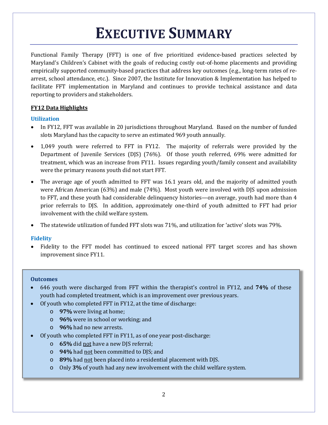# **EXECUTIVE SUMMARY**

Functional Family Therapy (FFT) is one of five prioritized evidence-based practices selected by Maryland's Children's Cabinet with the goals of reducing costly out-of-home placements and providing empirically supported community-based practices that address key outcomes (e.g., long-term rates of rearrest, school attendance, etc.). Since 2007, the Institute for Innovation & Implementation has helped to facilitate FFT implementation in Maryland and continues to provide technical assistance and data reporting to providers and stakeholders.

# **FY12 Data Highlights**

# **Utilization**

- In FY12, FFT was available in 20 jurisdictions throughout Maryland. Based on the number of funded slots Maryland has the capacity to serve an estimated 969 youth annually.
- 1,049 youth were referred to FFT in FY12. The majority of referrals were provided by the Department of Juvenile Services (DJS) (76%). Of those youth referred, 69% were admitted for treatment, which was an increase from FY11. Issues regarding youth/family consent and availability were the primary reasons youth did not start FFT.
- The average age of youth admitted to FFT was 16.1 years old, and the majority of admitted youth were African American (63%) and male (74%). Most youth were involved with DJS upon admission to FFT, and these youth had considerable delinquency histories—on average, youth had more than 4 prior referrals to DJS. In addition, approximately one-third of youth admitted to FFT had prior involvement with the child welfare system.
- The statewide utilization of funded FFT slots was 71%, and utilization for 'active' slots was 79%.

# **Fidelity**

• Fidelity to the FFT model has continued to exceed national FFT target scores and has shown improvement since FY11.

# **Outcomes**

- 646 youth were discharged from FFT within the therapist's control in FY12, and **74%** of these youth had completed treatment, which is an improvement over previous years.
- Of youth who completed FFT in FY12, at the time of discharge:
	- o **97%** were living at home;
	- o **96%** were in school or working; and
	- o **96%** had no new arrests.
- Of youth who completed FFT in FY11, as of one year post-discharge:
	- o **65%** did not have a new DJS referral;
	- o **94%** had not been committed to DJS; and
	- o **89%** had not been placed into a residential placement with DJS.
	- o Only **3%** of youth had any new involvement with the child welfare system.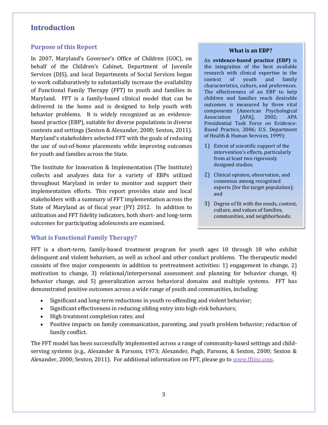# <span id="page-3-0"></span>**Introduction**

## <span id="page-3-1"></span>**Purpose of this Report**

In 2007, Maryland's Governor's Office of Children (GOC), on behalf of the Children's Cabinet, Department of Juvenile Services (DJS), and local Departments of Social Services began to work collaboratively to substantially increase the availability of Functional Family Therapy (FFT) to youth and families in Maryland. FFT is a family-based clinical model that can be delivered in the home and is designed to help youth with behavior problems. It is widely recognized as an evidencebased practice (EBP), suitable for diverse populations in diverse contexts and settings (Sexton & Alexander, 2000; Sexton, 2011). Maryland's stakeholders selected FFT with the goals of reducing the use of out-of-home placements while improving outcomes for youth and families across the State.

The Institute for Innovation & Implementation (The Institute) collects and analyzes data for a variety of EBPs utilized throughout Maryland in order to monitor and support their implementation efforts. This report provides state and local stakeholders with a summary of FFT implementation across the State of Maryland as of fiscal year (FY) 2012. In addition to utilization and FFT fidelity indicators, both short- and long-term outcomes for participating adolescents are examined.

#### **What is an EBP?**

An **evidence-based practice (EBP)** is the integration of the best available research with clinical expertise in the<br>context of vouth and family context of youth and family characteristics, culture, and preferences. The effectiveness of an EBP to help children and families reach desirable outcomes is measured by three vital components (American Psychological<br>Association [APA], 2002; APA Association Presidential Task Force on Evidence-Based Practice, 2006; U.S. Department of Health & Human Services, 1999):

- 1) Extent of scientific support of the intervention's effects, particularly from at least two rigorously designed studies;
- 2) Clinical opinion, observation, and consensus among recognized experts (for the target population); and
- 3) Degree of fit with the needs, context, culture, and values of families, communities, and neighborhoods.

# <span id="page-3-2"></span>**What is Functional Family Therapy?**

FFT is a short-term, family-based treatment program for youth ages 10 through 18 who exhibit delinquent and violent behaviors, as well as school and other conduct problems. The therapeutic model consists of five major components in addition to pretreatment activities: 1) engagement in change, 2) motivation to change, 3) relational/interpersonal assessment and planning for behavior change, 4) behavior change, and 5) generalization across behavioral domains and multiple systems. FFT has demonstrated positive outcomes across a wide range of youth and communities, including:

- Significant and long-term reductions in youth re-offending and violent behavior;
- Significant effectiveness in reducing sibling entry into high-risk behaviors;
- High treatment completion rates; and
- Positive impacts on family communication, parenting, and youth problem behavior; reduction of family conflict.

The FFT model has been successfully implemented across a range of community-based settings and childserving systems (e.g., Alexander & Parsons, 1973; Alexander, Pugh, Parsons, & Sexton, 2000; Sexton & Alexander, 2000; Sexton, 2011). For additional information on FFT, please go to [www.fftinc.com.](http://www.fftinc.com/)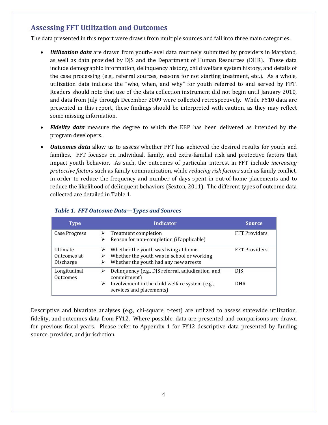# <span id="page-4-0"></span>**Assessing FFT Utilization and Outcomes**

The data presented in this report were drawn from multiple sources and fall into three main categories.

- <span id="page-4-1"></span>• *Utilization data* are drawn from youth-level data routinely submitted by providers in Maryland, as well as data provided by DJS and the Department of Human Resources (DHR). These data include demographic information, delinquency history, child welfare system history, and details of the case processing (e.g., referral sources, reasons for not starting treatment, etc.). As a whole, utilization data indicate the "who, when, and why" for youth referred to and served by FFT. Readers should note that use of the data collection instrument did not begin until January 2010, and data from July through December 2009 were collected retrospectively. While FY10 data are presented in this report, these findings should be interpreted with caution, as they may reflect some missing information.
- <span id="page-4-2"></span>• *Fidelity data* measure the degree to which the EBP has been delivered as intended by the program developers.
- <span id="page-4-3"></span>• *Outcomes data* allow us to assess whether FFT has achieved the desired results for youth and families. FFT focuses on individual, family, and extra-familial risk and protective factors that impact youth behavior. As such, the outcomes of particular interest in FFT include *increasing protective factors* such as family communication, while *reducing risk factors* such as family conflict, in order to reduce the frequency and number of days spent in out-of-home placements and to reduce the likelihood of delinquent behaviors (Sexton, 2011). The different types of outcome data collected are detailed in Table 1.

| <b>Type</b>                                 | <b>Indicator</b>                                                                                                                                     | <b>Source</b>            |
|---------------------------------------------|------------------------------------------------------------------------------------------------------------------------------------------------------|--------------------------|
| <b>Case Progress</b>                        | Treatment completion<br>Reason for non-completion (if applicable)                                                                                    | <b>FFT Providers</b>     |
| <b>Ultimate</b><br>Outcomes at<br>Discharge | Whether the youth was living at home<br>Whether the youth was in school or working<br>Whether the youth had any new arrests                          | <b>FFT Providers</b>     |
| Longitudinal<br><b>Outcomes</b>             | Delinquency (e.g., DJS referral, adjudication, and<br>commitment)<br>Involvement in the child welfare system (e.g.,<br>➤<br>services and placements) | <b>DJS</b><br><b>DHR</b> |

# *Table 1. FFT Outcome Data—Types and Sources*

Descriptive and bivariate analyses (e.g., chi-square, t-test) are utilized to assess statewide utilization, fidelity, and outcomes data from FY12. Where possible, data are presented and comparisons are drawn for previous fiscal years. Please refer to Appendix 1 for FY12 descriptive data presented by funding source, provider, and jurisdiction.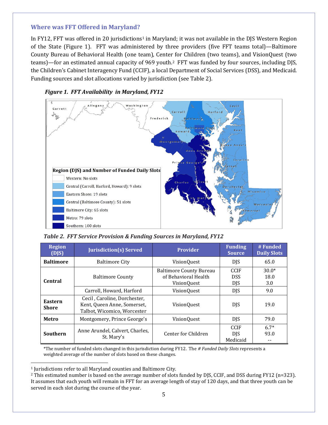# <span id="page-5-0"></span>**Where was FFT Offered in Maryland?**

In FY[1](#page-5-1)2, FFT was offered in 20 jurisdictions<sup>1</sup> in Maryland; it was not available in the DJS Western Region of the State (Figure 1). FFT was administered by three providers (five FFT teams total)—Baltimore County Bureau of Behavioral Health (one team), Center for Children (two teams), and VisionQuest (two teams)—for an estimated annual capacity of 969 youth.[2](#page-5-2) FFT was funded by four sources, including DJS, the Children's Cabinet Interagency Fund (CCIF), a local Department of Social Services (DSS), and Medicaid. Funding sources and slot allocations varied by jurisdiction (see Table 2).





*Table 2. FFT Service Provision & Funding Sources in Maryland, FY12*

| <b>Region</b><br>(DJS)  | <b>Jurisdiction(s) Served</b>                                                               | <b>Provider</b>                                                       | <b>Funding</b><br><b>Source</b>         | #Funded<br><b>Daily Slots</b> |
|-------------------------|---------------------------------------------------------------------------------------------|-----------------------------------------------------------------------|-----------------------------------------|-------------------------------|
| <b>Baltimore</b>        | <b>Baltimore City</b>                                                                       | VisionQuest                                                           | DJS                                     | 65.0                          |
| <b>Central</b>          | <b>Baltimore County</b>                                                                     | <b>Baltimore County Bureau</b><br>of Behavioral Health<br>Vision0uest | <b>CCIF</b><br><b>DSS</b><br><b>DJS</b> | $30.0*$<br>18.0<br>3.0        |
|                         | Carroll, Howard, Harford                                                                    | <b>VisionQuest</b>                                                    | <b>DJS</b>                              | 9.0                           |
| Eastern<br><b>Shore</b> | Cecil . Caroline. Dorchester.<br>Kent, Queen Anne, Somerset,<br>Talbot, Wicomico, Worcester | <b>VisionQuest</b>                                                    | <b>DJS</b>                              | 19.0                          |
| Metro                   | Montgomery, Prince George's                                                                 | VisionQuest                                                           | <b>DJS</b>                              | 79.0                          |
| <b>Southern</b>         | Anne Arundel, Calvert, Charles,<br>St. Mary's                                               | Center for Children                                                   | <b>CCIF</b><br><b>DIS</b><br>Medicaid   | $6.7*$<br>93.0                |

\*The number of funded slots changed in this jurisdiction during FY12. The *# Funded Daily Slots* represents a weighted average of the number of slots based on these changes.

<span id="page-5-1"></span> $\ddot{\phantom{a}}$ <sup>1</sup> Jurisdictions refer to all Maryland counties and Baltimore City.

<span id="page-5-2"></span><sup>2</sup> This estimated number is based on the average number of slots funded by DJS, CCIF, and DSS during FY12 (n=323). It assumes that each youth will remain in FFT for an average length of stay of 120 days, and that three youth can be served in each slot during the course of the year.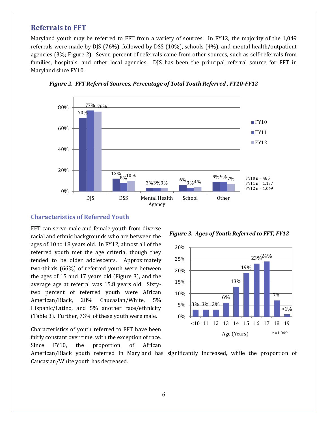# <span id="page-6-0"></span>**Referrals to FFT**

Maryland youth may be referred to FFT from a variety of sources. In FY12, the majority of the 1,049 referrals were made by DJS (76%), followed by DSS (10%), schools (4%), and mental health/outpatient agencies (3%; Figure 2). Seven percent of referrals came from other sources, such as self-referrals from families, hospitals, and other local agencies. DJS has been the principal referral source for FFT in Maryland since FY10.



*Figure 2. FFT Referral Sources, Percentage of Total Youth Referred , FY10-FY12*

#### <span id="page-6-1"></span>**Characteristics of Referred Youth**

FFT can serve male and female youth from diverse racial and ethnic backgrounds who are between the ages of 10 to 18 years old. In FY12, almost all of the referred youth met the age criteria, though they tended to be older adolescents. Approximately two-thirds (66%) of referred youth were between the ages of 15 and 17 years old (Figure 3), and the average age at referral was 15.8 years old. Sixtytwo percent of referred youth were African American/Black, 28% Caucasian/White, 5% Hispanic/Latino, and 5% another race/ethnicity (Table 3). Further, 73% of these youth were male.

Characteristics of youth referred to FFT have been fairly constant over time, with the exception of race. Since FY10, the proportion of African





American/Black youth referred in Maryland has significantly increased, while the proportion of Caucasian/White youth has decreased.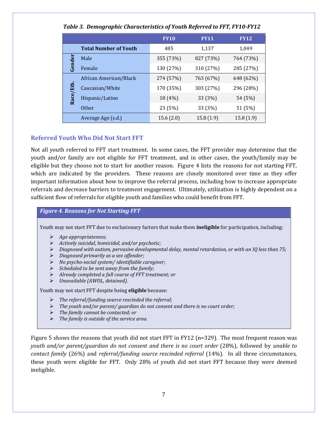|          | <i>o</i> - r - -             | - ,         |             |             |
|----------|------------------------------|-------------|-------------|-------------|
|          |                              | <b>FY10</b> | <b>FY11</b> | <b>FY12</b> |
|          | <b>Total Number of Youth</b> | 485         | 1,137       | 1,049       |
| ēĭ       | Male                         | 355 (73%)   | 827 (73%)   | 764 (73%)   |
| Gen      | Female                       | 130 (27%)   | 310 (27%)   | 285 (27%)   |
|          | African American/Black       | 274 (57%)   | 763 (67%)   | 648 (62%)   |
|          | Caucasian/White              | 170 (35%)   | 303 (27%)   | 296 (28%)   |
| Race/Eth | Hispanic/Latino              | 18 (4%)     | 33 (3%)     | 54 (5%)     |
|          | <b>Other</b>                 | 23 (5%)     | 33 (3%)     | 51 (5%)     |
|          | Average Age (s.d.)           | 15.6(2.0)   | 15.8(1.9)   | 15.8(1.9)   |

# *Table 3. Demographic Characteristics of Youth Referred to FFT, FY10-FY12*

# <span id="page-7-0"></span>**Referred Youth Who Did Not Start FFT**

Not all youth referred to FFT start treatment. In some cases, the FFT provider may determine that the youth and/or family are not eligible for FFT treatment, and in other cases, the youth/family may be eligible but they choose not to start for another reason. Figure 4 lists the reasons for not starting FFT, which are indicated by the providers. These reasons are closely monitored over time as they offer important information about how to improve the referral process, including how to increase appropriate referrals and decrease barriers to treatment engagement. Ultimately, utilization is highly dependent on a sufficient flow of referrals for eligible youth and families who could benefit from FFT.

#### *Figure 4. Reasons for Not Starting FFT*

Youth may not start FFT due to exclusionary factors that make them **ineligible** for participation, including:

- *Age appropriateness;*
- *Actively suicidal, homicidal, and/or psychotic;*
- *Diagnosed with autism, pervasive developmental delay, mental retardation, or with an IQ less than 75;*
- *Diagnosed primarily as a sex offender;*
- *No psycho-social system/ identifiable caregiver;*
- *Scheduled to be sent away from the family;*
- *Already completed a full course of FFT treatment; or*
- *Unavailable (AWOL, detained).*

Youth may not start FFT despite being **eligible** because:

- *The referral/funding source rescinded the referral;*
- *The youth and/or parent/ guardian do not consent and there is no court order;*
- *The family cannot be contacted; or*
- *The family is outside of the service area.*

Figure 5 shows the reasons that youth did not start FFT in FY12 (n=329). The most frequent reason was *youth and/or parent/guardian do not consent and there is no court order* (28%), followed by *unable to contact family* (26%) and *referral/funding source rescinded referral* (14%). In all three circumstances, these youth were eligible for FFT. Only 28% of youth did not start FFT because they were deemed ineligible.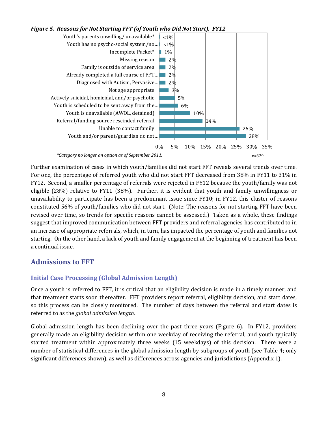

Further examination of cases in which youth/families did not start FFT reveals several trends over time. For one, the percentage of referred youth who did not start FFT decreased from 38% in FY11 to 31% in FY12. Second, a smaller percentage of referrals were rejected in FY12 because the youth/family was not eligible (28%) relative to FY11 (38%). Further, it is evident that youth and family unwillingness or unavailability to participate has been a predominant issue since FY10; in FY12, this cluster of reasons constituted 56% of youth/families who did not start. (Note: The reasons for not starting FFT have been revised over time, so trends for specific reasons cannot be assessed.) Taken as a whole, these findings suggest that improved communication between FFT providers and referral agencies has contributed to in an increase of appropriate referrals, which, in turn, has impacted the percentage of youth and families not starting. On the other hand, a lack of youth and family engagement at the beginning of treatment has been a continual issue.

# <span id="page-8-0"></span>**Admissions to FFT**

# <span id="page-8-1"></span>**Initial Case Processing (Global Admission Length)**

Once a youth is referred to FFT, it is critical that an eligibility decision is made in a timely manner, and that treatment starts soon thereafter. FFT providers report referral, eligibility decision, and start dates, so this process can be closely monitored. The number of days between the referral and start dates is referred to as the *global admission length*.

Global admission length has been declining over the past three years (Figure 6). In FY12, providers generally made an eligibility decision within one weekday of receiving the referral, and youth typically started treatment within approximately three weeks (15 weekdays) of this decision. There were a number of statistical differences in the global admission length by subgroups of youth (see Table 4; only significant differences shown), as well as differences across agencies and jurisdictions (Appendix 1).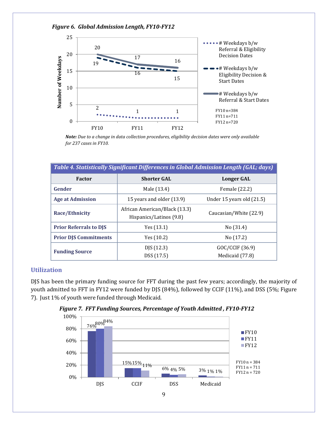

*Note: Due to a change in data collection procedures, eligibility decision dates were only available for 237 cases in FY10.*

| Table 4. Statistically Significant Differences in Global Admission Length (GAL; days) |                                                          |                                    |  |
|---------------------------------------------------------------------------------------|----------------------------------------------------------|------------------------------------|--|
| <b>Factor</b>                                                                         | <b>Shorter GAL</b>                                       | Longer GAL                         |  |
| Gender                                                                                | Male (13.4)                                              | Female (22.2)                      |  |
| <b>Age at Admission</b>                                                               | 15 years and older (13.9)                                | Under 15 years old $(21.5)$        |  |
| Race/Ethnicity                                                                        | African American/Black (13.3)<br>Hispanics/Latinos (9.8) | Caucasian/White (22.9)             |  |
| <b>Prior Referrals to DJS</b>                                                         | Yes $(13.1)$                                             | No(31.4)                           |  |
| <b>Prior DJS Commitments</b>                                                          | Yes $(10.2)$                                             | No $(17.2)$                        |  |
| <b>Funding Source</b>                                                                 | DJS(12.3)<br>DSS (17.5)                                  | GOC/CCIF (36.9)<br>Medicaid (77.8) |  |

# <span id="page-9-0"></span>**Utilization**

DJS has been the primary funding source for FFT during the past few years; accordingly, the majority of youth admitted to FFT in FY12 were funded by DJS (84%), followed by CCIF (11%), and DSS (5%; Figure 7). Just 1% of youth were funded through Medicaid.



*Figure 7. FFT Funding Sources, Percentage of Youth Admitted , FY10-FY12*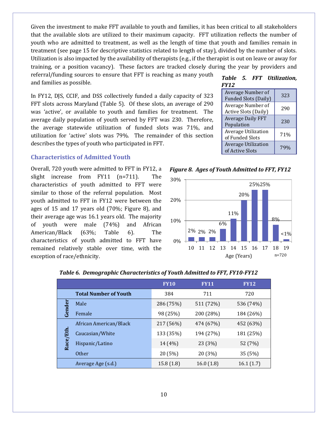Given the investment to make FFT available to youth and families, it has been critical to all stakeholders that the available slots are utilized to their maximum capacity. FFT utilization reflects the number of youth who are admitted to treatment, as well as the length of time that youth and families remain in treatment (see page 15 for descriptive statistics related to length of stay), divided by the number of slots. Utilization is also impacted by the availability of therapists (e.g., if the therapist is out on leave or away for training, or a position vacancy). These factors are tracked closely during the year by providers and referral/funding sources to ensure that FFT is reaching as many youth

and families as possible.

In FY12, DJS, CCIF, and DSS collectively funded a daily capacity of 323 FFT slots across Maryland (Table 5). Of these slots, an average of 290 was 'active', or available to youth and families for treatment. The average daily population of youth served by FFT was 230. Therefore, the average statewide utilization of funded slots was 71%, and utilization for 'active' slots was 79%. The remainder of this section describes the types of youth who participated in FFT.

### <span id="page-10-0"></span>**Characteristics of Admitted Youth**

Overall, 720 youth were admitted to FFT in FY12, a slight increase from FY11 (n=711). The characteristics of youth admitted to FFT were similar to those of the referral population. Most youth admitted to FFT in FY12 were between the ages of 15 and 17 years old (70%; Figure 8), and their average age was 16.1 years old. The majority of youth were male (74%) and African American/Black (63%; Table 6). The characteristics of youth admitted to FFT have remained relatively stable over time, with the exception of race/ethnicity.

|             |  | Table 5. FFT Utilization, |
|-------------|--|---------------------------|
| <b>FY12</b> |  |                           |

| Average Number of<br><b>Funded Slots (Daily)</b> | 323 |
|--------------------------------------------------|-----|
| Average Number of<br><b>Active Slots (Daily)</b> | 290 |
| <b>Average Daily FFT</b><br>Population           | 230 |
| Average Utilization<br>of Funded Slots           | 71% |
| <b>Average Utilization</b><br>of Active Slots    |     |

*Figure 8. Ages of Youth Admitted to FFT, FY12*



|         |                              | <b>FY10</b> | <b>FY11</b> | <b>FY12</b> |
|---------|------------------------------|-------------|-------------|-------------|
|         | <b>Total Number of Youth</b> | 384         | 711         | 720         |
|         | Male                         | 286 (75%)   | 511 (72%)   | 536 (74%)   |
| Gende   | Female                       | 98 (25%)    | 200 (28%)   | 184 (26%)   |
|         | African American/Black       | 217 (56%)   | 474 (67%)   | 452 (63%)   |
|         | Caucasian/White              | 133 (35%)   | 194 (27%)   | 181 (25%)   |
| Race/Et | Hispanic/Latino              | 14 (4%)     | 23 (3%)     | 52 (7%)     |
|         | <b>Other</b>                 | 20 (5%)     | 20 (3%)     | 35 (5%)     |
|         | Average Age (s.d.)           | 15.8(1.8)   | 16.0(1.8)   | 16.1(1.7)   |

#### *Table 6. Demographic Characteristics of Youth Admitted to FFT, FY10-FY12*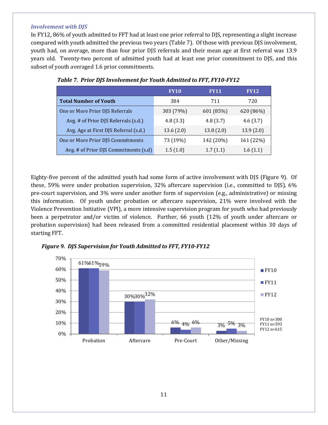#### *Involvement with DJS*

In FY12, 86% of youth admitted to FFT had at least one prior referral to DJS, representing a slight increase compared with youth admitted the previous two years (Table 7). Of those with previous DJS involvement, youth had, on average, more than four prior DJS referrals and their mean age at first referral was 13.9 years old. Twenty-two percent of admitted youth had at least one prior commitment to DJS, and this subset of youth averaged 1.6 prior commitments.

|                                       | <b>FY10</b> | <b>FY11</b> | <b>FY12</b> |
|---------------------------------------|-------------|-------------|-------------|
| <b>Total Number of Youth</b>          | 384         | 711         | 720         |
| One or More Prior DJS Referrals       | 303 (79%)   | 601 (85%)   | 620 (86%)   |
| Avg. # of Prior DJS Referrals (s.d.)  | 4.8(3.3)    | 4.8(3.7)    | 4.6(3.7)    |
| Avg. Age at First DJS Referral (s.d.) | 13.6(2.0)   | 13.8(2.0)   | 13.9(2.0)   |
| One or More Prior DJS Commitments     | 73 (19%)    | 142 (20%)   | 161 (22%)   |
| Avg. # of Prior DJS Commitments (s.d) | 1.5(1.0)    | 1.7(1.1)    | 1.6(1.1)    |

|  |  | Table 7. Prior DJS Involvement for Youth Admitted to FFT, FY10-FY12 |  |  |  |  |  |
|--|--|---------------------------------------------------------------------|--|--|--|--|--|
|--|--|---------------------------------------------------------------------|--|--|--|--|--|

Eighty-five percent of the admitted youth had some form of active involvement with DJS (Figure 9). Of these, 59% were under probation supervision, 32% aftercare supervision (i.e., committed to DJS), 6% pre-court supervision, and 3% were under another form of supervision (e.g., administrative) or missing this information. Of youth under probation or aftercare supervision, 21% were involved with the Violence Prevention Initiative (VPI), a more intensive supervision program for youth who had previously been a perpetrator and/or victim of violence. Further, 66 youth (12% of youth under aftercare or probation supervision) had been released from a committed residential placement within 30 days of starting FFT.



*Figure 9. DJS Supervision for Youth Admitted to FFT, FY10-FY12*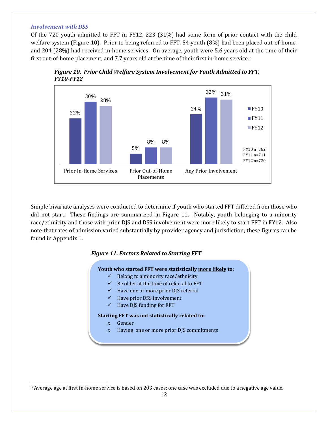#### *Involvement with DSS*

 $\ddot{\phantom{a}}$ 

Of the 720 youth admitted to FFT in FY12, 223 (31%) had some form of prior contact with the child welfare system (Figure 10). Prior to being referred to FFT, 54 youth (8%) had been placed out-of-home, and 204 (28%) had received in-home services. On average, youth were 5.6 years old [a](#page-12-0)t the time of their first out-of-home placement, and 7.7 years old at the time of their first in-home service.3



*Figure 10. Prior Child Welfare System Involvement for Youth Admitted to FFT, FY10-FY12*

Simple bivariate analyses were conducted to determine if youth who started FFT differed from those who did not start. These findings are summarized in Figure 11. Notably, youth belonging to a minority race/ethnicity and those with prior DJS and DSS involvement were more likely to start FFT in FY12. Also note that rates of admission varied substantially by provider agency and jurisdiction; these figures can be found in Appendix 1.

#### *Figure 11. Factors Related to Starting FFT*

#### **Youth who started FFT were statistically more likely to:**

- $\checkmark$  Belong to a minority race/ethnicity
- $\checkmark$  Be older at the time of referral to FFT
- $\checkmark$  Have one or more prior DJS referral
- $\checkmark$  Have prior DSS involvement
- $\checkmark$  Have DJS funding for FFT

#### **Starting FFT was not statistically related to:**

- x Gender
- x Having one or more prior DJS commitments

<span id="page-12-0"></span><sup>3</sup> Average age at first in-home service is based on 203 cases; one case was excluded due to a negative age value.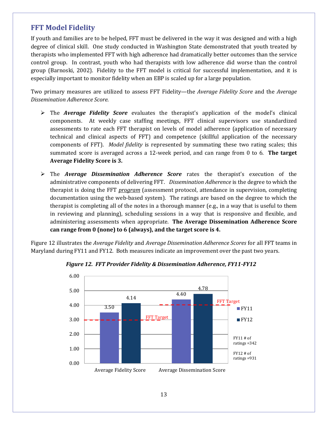# <span id="page-13-0"></span>**FFT Model Fidelity**

If youth and families are to be helped, FFT must be delivered in the way it was designed and with a high degree of clinical skill. One study conducted in Washington State demonstrated that youth treated by therapists who implemented FFT with high adherence had dramatically better outcomes than the service control group. In contrast, youth who had therapists with low adherence did worse than the control group (Barnoski, 2002). Fidelity to the FFT model is critical for successful implementation, and it is especially important to monitor fidelity when an EBP is scaled up for a large population.

Two primary measures are utilized to assess FFT Fidelity—the *Average Fidelity Score* and the *Average Dissemination Adherence Score*.

- The *Average Fidelity Score* evaluates the therapist's application of the model's clinical components. At weekly case staffing meetings, FFT clinical supervisors use standardized assessments to rate each FFT therapist on levels of model adherence (application of necessary technical and clinical aspects of FFT) and competence (skillful application of the necessary components of FFT). *Model fidelity* is represented by summating these two rating scales; this summated score is averaged across a 12-week period, and can range from 0 to 6. **The target Average Fidelity Score is 3.**
- The *Average Dissemination Adherence Score* rates the therapist's execution of the administrative components of delivering FFT. *Dissemination Adherence* is the degree to which the therapist is doing the FFT *program* (assessment protocol, attendance in supervision, completing documentation using the web-based system). The ratings are based on the degree to which the therapist is completing all of the notes in a thorough manner (e.g., in a way that is useful to them in reviewing and planning), scheduling sessions in a way that is responsive and flexible, and administering assessments when appropriate. **The Average Dissemination Adherence Score can range from 0 (none) to 6 (always), and the target score is 4.**

Figure 12 illustrates the *Average Fidelity* and *Average Dissemination Adherence Scores* for all FFT teams in Maryland during FY11 and FY12. Both measures indicate an improvement over the past two years.



*Figure 12. FFT Provider Fidelity & Dissemination Adherence, FY11-FY12*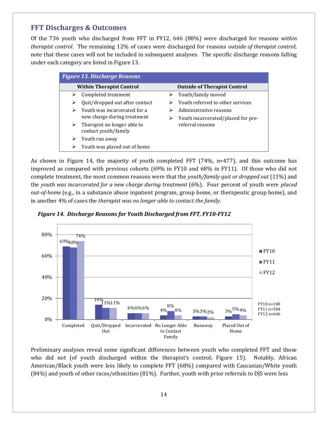# <span id="page-14-0"></span>**FFT Discharges & Outcomes**

Of the 736 youth who discharged from FFT in FY12, 646 (88%) were discharged for reasons *within therapist control*. The remaining 12% of cases were discharged for reasons *outside of therapist control*; note that these cases will not be included in subsequent analyses. The specific discharge reasons falling under each category are listed in Figure 13.

|   | <b>Figure 13. Discharge Reasons</b>                 |   |                                     |
|---|-----------------------------------------------------|---|-------------------------------------|
|   | <b>Within Therapist Control</b>                     |   | <b>Outside of Therapist Control</b> |
|   | Completed treatment                                 |   | $\triangleright$ Youth/family moved |
|   | Quit/dropped out after contact                      |   | Youth referred to other services    |
|   | Youth was incarcerated for a                        |   | Administrative reasons              |
|   | new charge during treatment                         | ➤ | Youth incarcerated/placed for pre-  |
| ➤ | Therapist no longer able to<br>contact youth/family |   | referral reasons                    |
| ⋗ | Youth ran away                                      |   |                                     |
|   | Youth was placed out of home                        |   |                                     |

As shown in Figure 14, the majority of youth completed FFT (74%, n=477), and this outcome has improved as compared with previous cohorts (69% in FY10 and 68% in FY11). Of those who did not complete treatment, the most common reasons were that the *youth/family quit or dropped out* (11%) and the *youth was incarcerated for a new charge during treatment* (6%). Four percent of youth were *placed out-of-home* (e.g., in a substance abuse inpatient program, group home, or therapeutic group home), and in another 4% of cases the *therapist was no longer able to contact the family*.

*Figure 14. Discharge Reasons for Youth Discharged from FFT, FY10-FY12*



Preliminary analyses reveal some significant differences between youth who completed FFT and those who did not (of youth discharged within the therapist's control; Figure 15). Notably, African American/Black youth were less likely to complete FFT (68%) compared with Caucasian/White youth (84%) and youth of other races/ethnicities (81%). Further, youth with prior referrals to DJS were less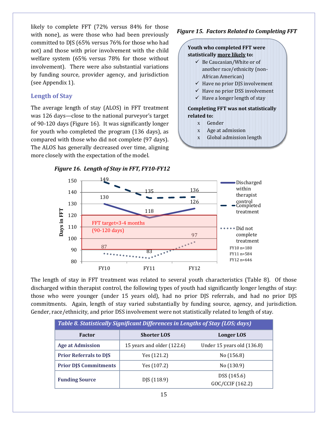likely to complete FFT (72% versus 84% for those with none), as were those who had been previously committed to DJS (65% versus 76% for those who had not) and those with prior involvement with the child welfare system (65% versus 78% for those without involvement). There were also substantial variations by funding source, provider agency, and jurisdiction (see Appendix 1).

# <span id="page-15-0"></span>**Length of Stay**

The average length of stay (ALOS) in FFT treatment was 126 days—close to the national purveyor's target of 90-120 days (Figure 16). It was significantly longer for youth who completed the program (136 days), as compared with those who did not complete (97 days). The ALOS has generally decreased over time, aligning more closely with the expectation of the model.

## *Figure 15. Factors Related to Completing FFT*

#### **Youth who completed FFT were statistically more likely to:**

- $\checkmark$  Be Caucasian/White or of another race/ethnicity (non-African American)
- $\checkmark$  Have no prior DJS involvement
- $\checkmark$  Have no prior DSS involvement
- $\checkmark$  Have a longer length of stay

#### **Completing FFT was not statistically related to:**

- x Gender
- x Age at admission
- x Global admission length



The length of stay in FFT treatment was related to several youth characteristics (Table 8). Of those discharged within therapist control, the following types of youth had significantly longer lengths of stay: those who were younger (under 15 years old), had no prior DJS referrals, and had no prior DJS commitments. Again, length of stay varied substantially by funding source, agency, and jurisdiction. Gender, race/ethnicity, and prior DSS involvement were not statistically related to length of stay.

| <b>Table 8. Statistically Significant Differences in Lengths of Stay (LOS; days)</b> |                            |                                 |  |
|--------------------------------------------------------------------------------------|----------------------------|---------------------------------|--|
| <b>Factor</b>                                                                        | <b>Shorter LOS</b>         | Longer LOS                      |  |
| <b>Age at Admission</b>                                                              | 15 years and older (122.6) | Under 15 years old (136.8)      |  |
| <b>Prior Referrals to DJS</b>                                                        | Yes (121.2)                | No (156.8)                      |  |
| <b>Prior DJS Commitments</b>                                                         | Yes $(107.2)$              | No (130.9)                      |  |
| <b>Funding Source</b>                                                                | DJS (118.9)                | DSS (145.6)<br>GOC/CCIF (162.2) |  |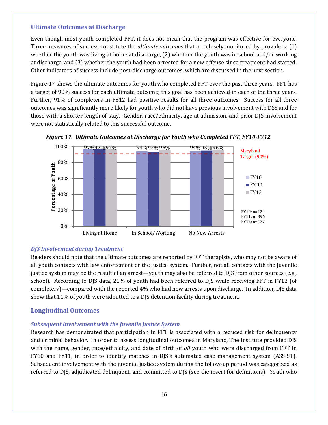#### <span id="page-16-0"></span>**Ultimate Outcomes at Discharge**

Even though most youth completed FFT, it does not mean that the program was effective for everyone. Three measures of success constitute the *ultimate outcomes* that are closely monitored by providers: (1) whether the youth was living at home at discharge, (2) whether the youth was in school and/or working at discharge, and (3) whether the youth had been arrested for a new offense since treatment had started. Other indicators of success include post-discharge outcomes, which are discussed in the next section.

Figure 17 shows the ultimate outcomes for youth who completed FFT over the past three years. FFT has a target of 90% success for each ultimate outcome; this goal has been achieved in each of the three years. Further, 91% of completers in FY12 had positive results for all three outcomes. Success for all three outcomes was significantly more likely for youth who did not have previous involvement with DSS and for those with a shorter length of stay. Gender, race/ethnicity, age at admission, and prior DJS involvement were not statistically related to this successful outcome.





## *DJS Involvement during Treatment*

Readers should note that the ultimate outcomes are reported by FFT therapists, who may not be aware of all youth contacts with law enforcement or the justice system. Further, not all contacts with the juvenile justice system may be the result of an arrest—youth may also be referred to DJS from other sources (e.g., school). According to DJS data, 21% of youth had been referred to DJS while receiving FFT in FY12 (of completers)—compared with the reported 4% who had new arrests upon discharge. In addition, DJS data show that 11% of youth were admitted to a DJS detention facility during treatment.

## <span id="page-16-1"></span>**Longitudinal Outcomes**

## *Subsequent Involvement with the Juvenile Justice System*

Research has demonstrated that participation in FFT is associated with a reduced risk for delinquency and criminal behavior. In order to assess longitudinal outcomes in Maryland, The Institute provided DJS with the name, gender, race/ethnicity, and date of birth of *all* youth who were discharged from FFT in FY10 and FY11, in order to identify matches in DJS's automated case management system (ASSIST). Subsequent involvement with the juvenile justice system during the follow-up period was categorized as referred to DJS, adjudicated delinquent, and committed to DJS (see the insert for definitions). Youth who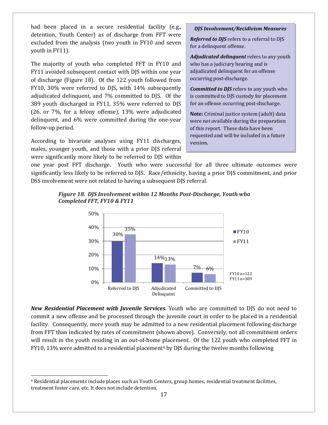had been placed in a secure residential facility (e.g., detention, Youth Center) as of discharge from FFT were excluded from the analysis (two youth in FY10 and seven youth in FY11).

The majority of youth who completed FFT in FY10 and FY11 avoided subsequent contact with DJS within one year of discharge (Figure 18). Of the 122 youth followed from FY10, 30% were referred to DJS, with 14% subsequently adjudicated delinquent, and 7% committed to DJS. Of the 389 youth discharged in FY11, 35% were referred to DJS (26, or 7%, for a felony offense), 13% were adjudicated delinquent, and 6% were committed during the one-year follow-up period.

According to bivariate analyses using FY11 discharges, males, younger youth, and those with a prior DJS referral were significantly more likely to be referred to DJS within

 $\ddot{\phantom{a}}$ 

#### *DJS Involvement/Recidivism Measures*

*Referred to DJS* refers to a referral to DJS for a delinquent offense.

*Adjudicated delinquent* refers to any youth who has a judiciary hearing and is adjudicated delinquent for an offense occurring post-discharge.

*Committed to DJS* refers to any youth who is committed to DJS custody for placement for an offense occurring post-discharge.

**Note:** Criminal justice system (adult) data were not available during the preparation of this report. These data have been requested and will be included in a future version.

one year post FFT discharge. Youth who were successful for all three ultimate outcomes were significantly less likely to be referred to DJS. Race/ethnicity, having a prior DJS commitment, and prior DSS involvement were not related to having a subsequent DJS referral.





*New Residential Placement with Juvenile Services.* Youth who are committed to DJS do not need to commit a new offense and be processed through the juvenile court in order to be placed in a residential facility. Consequently, more youth may be admitted to a new residential placement following discharge from FFT than indicated by rates of commitment (shown above). Conversely, not all commitment orders will result in the youth residing in an out-of-home placement. Of the 122 youth who completed FFT in FY10, 13% were admitted to a residential placement<sup>[4](#page-17-0)</sup> by DJS during the twelve months following

<span id="page-17-0"></span><sup>4</sup> Residential placements include places such as Youth Centers, group homes, residential treatment facilities, treatment foster care, etc. It does not include detention.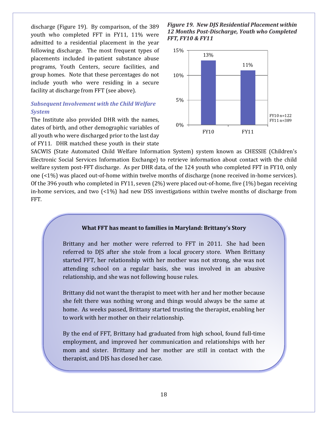discharge (Figure 19). By comparison, of the 389 youth who completed FFT in FY11, 11% were admitted to a residential placement in the year following discharge. The most frequent types of placements included in-patient substance abuse programs, Youth Centers, secure facilities, and group homes. Note that these percentages do not include youth who were residing in a secure facility at discharge from FFT (see above).

# *Subsequent Involvement with the Child Welfare System*

The Institute also provided DHR with the names, dates of birth, and other demographic variables of all youth who were discharged prior to the last day of FY11. DHR matched these youth in their state *Figure 19. New DJS Residential Placement within 12 Months Post-Discharge, Youth who Completed FFT, FY10 & FY11*



SACWIS (State Automated Child Welfare Information System) system known as CHESSIE (Children's Electronic Social Services Information Exchange) to retrieve information about contact with the child welfare system post-FFT discharge. As per DHR data, of the 124 youth who completed FFT in FY10, only one (<1%) was placed out-of-home within twelve months of discharge (none received in-home services). Of the 396 youth who completed in FY11, seven (2%) were placed out-of-home, five (1%) began receiving in-home services, and two (<1%) had new DSS investigations within twelve months of discharge from FFT.

#### **What FFT has meant to families in Maryland: Brittany's Story**

Brittany and her mother were referred to FFT in 2011. She had been referred to DJS after she stole from a local grocery store. When Brittany started FFT, her relationship with her mother was not strong, she was not attending school on a regular basis, she was involved in an abusive relationship, and she was not following house rules.

Brittany did not want the therapist to meet with her and her mother because she felt there was nothing wrong and things would always be the same at home. As weeks passed, Brittany started trusting the therapist, enabling her to work with her mother on their relationship.

By the end of FFT, Brittany had graduated from high school, found full-time employment, and improved her communication and relationships with her mom and sister. Brittany and her mother are still in contact with the therapist, and DJS has closed her case.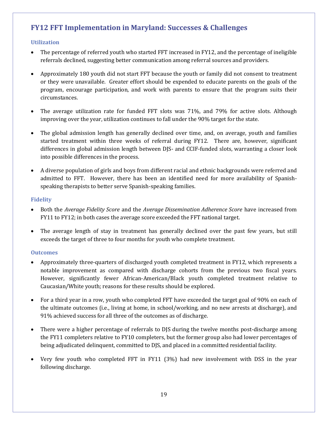# <span id="page-19-0"></span>**FY12 FFT Implementation in Maryland: Successes & Challenges**

# <span id="page-19-1"></span>**Utilization**

- The percentage of referred youth who started FFT increased in FY12, and the percentage of ineligible referrals declined, suggesting better communication among referral sources and providers.
- Approximately 180 youth did not start FFT because the youth or family did not consent to treatment or they were unavailable. Greater effort should be expended to educate parents on the goals of the program, encourage participation, and work with parents to ensure that the program suits their circumstances.
- The average utilization rate for funded FFT slots was 71%, and 79% for active slots. Although improving over the year, utilization continues to fall under the 90% target for the state.
- The global admission length has generally declined over time, and, on average, youth and families started treatment within three weeks of referral during FY12. There are, however, significant differences in global admission length between DJS- and CCIF-funded slots, warranting a closer look into possible differences in the process.
- A diverse population of girls and boys from different racial and ethnic backgrounds were referred and admitted to FFT. However, there has been an identified need for more availability of Spanishspeaking therapists to better serve Spanish-speaking families.

## <span id="page-19-2"></span>**Fidelity**

- Both the *Average Fidelity Score* and the *Average Dissemination Adherence Score* have increased from FY11 to FY12; in both cases the average score exceeded the FFT national target.
- The average length of stay in treatment has generally declined over the past few years, but still exceeds the target of three to four months for youth who complete treatment.

## <span id="page-19-3"></span>**Outcomes**

- Approximately three-quarters of discharged youth completed treatment in FY12, which represents a notable improvement as compared with discharge cohorts from the previous two fiscal years. However, significantly fewer African-American/Black youth completed treatment relative to Caucasian/White youth; reasons for these results should be explored.
- For a third year in a row, youth who completed FFT have exceeded the target goal of 90% on each of the ultimate outcomes (i.e., living at home, in school/working, and no new arrests at discharge), and 91% achieved success for all three of the outcomes as of discharge.
- There were a higher percentage of referrals to DJS during the twelve months post-discharge among the FY11 completers relative to FY10 completers, but the former group also had lower percentages of being adjudicated delinquent, committed to DJS, and placed in a committed residential facility.
- Very few youth who completed FFT in FY11 (3%) had new involvement with DSS in the year following discharge.